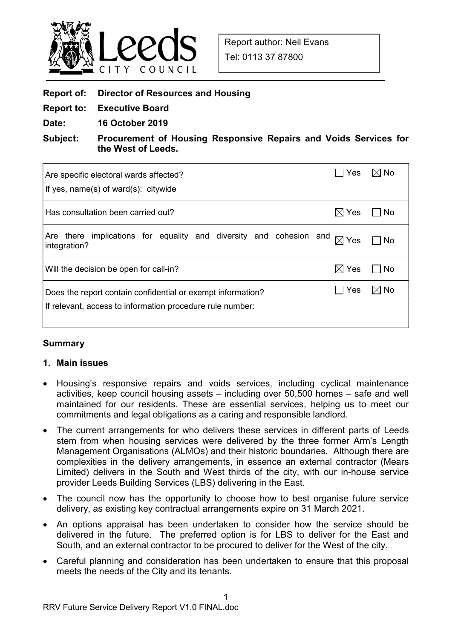

| <b>Report of: Director of Resources and Housing</b> |  |
|-----------------------------------------------------|--|
|                                                     |  |

- Report to: Executive Board
- Date: 16 October 2019

Subject: Procurement of Housing Responsive Repairs and Voids Services for the West of Leeds.

| Are specific electoral wards affected?<br>If yes, $name(s)$ of ward $(s)$ : citywide                                                              | Yes             | $\boxtimes$ No |  |  |
|---------------------------------------------------------------------------------------------------------------------------------------------------|-----------------|----------------|--|--|
| Has consultation been carried out?                                                                                                                | Yes<br>IХI      | <b>No</b>      |  |  |
| there implications for equality and diversity and cohesion and<br>Are<br>integration?                                                             | $\boxtimes$ Yes | <b>No</b>      |  |  |
| Will the decision be open for call-in?                                                                                                            | $\boxtimes$ Yes | No             |  |  |
| $\boxtimes$ No<br>Yes<br>Does the report contain confidential or exempt information?<br>If relevant, access to information procedure rule number: |                 |                |  |  |

## Summary

## 1. Main issues

- Housing's responsive repairs and voids services, including cyclical maintenance activities, keep council housing assets – including over 50,500 homes – safe and well maintained for our residents. These are essential services, helping us to meet our commitments and legal obligations as a caring and responsible landlord.
- The current arrangements for who delivers these services in different parts of Leeds stem from when housing services were delivered by the three former Arm's Length Management Organisations (ALMOs) and their historic boundaries. Although there are complexities in the delivery arrangements, in essence an external contractor (Mears Limited) delivers in the South and West thirds of the city, with our in-house service provider Leeds Building Services (LBS) delivering in the East.
- The council now has the opportunity to choose how to best organise future service delivery, as existing key contractual arrangements expire on 31 March 2021.
- An options appraisal has been undertaken to consider how the service should be delivered in the future. The preferred option is for LBS to deliver for the East and South, and an external contractor to be procured to deliver for the West of the city.
- Careful planning and consideration has been undertaken to ensure that this proposal meets the needs of the City and its tenants.

1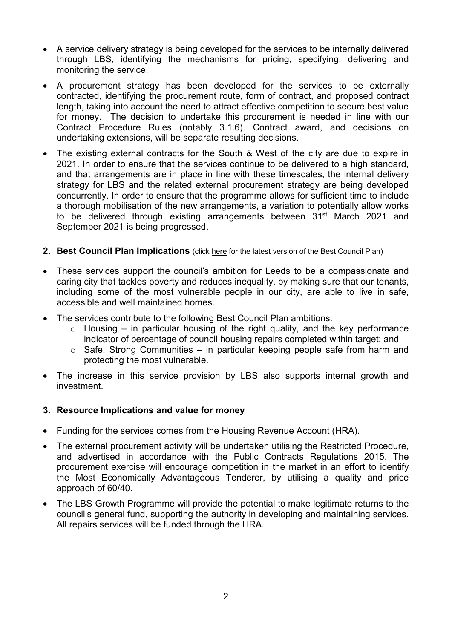- A service delivery strategy is being developed for the services to be internally delivered through LBS, identifying the mechanisms for pricing, specifying, delivering and monitoring the service.
- A procurement strategy has been developed for the services to be externally contracted, identifying the procurement route, form of contract, and proposed contract length, taking into account the need to attract effective competition to secure best value for money. The decision to undertake this procurement is needed in line with our Contract Procedure Rules (notably 3.1.6). Contract award, and decisions on undertaking extensions, will be separate resulting decisions.
- The existing external contracts for the South & West of the city are due to expire in 2021. In order to ensure that the services continue to be delivered to a high standard, and that arrangements are in place in line with these timescales, the internal delivery strategy for LBS and the related external procurement strategy are being developed concurrently. In order to ensure that the programme allows for sufficient time to include a thorough mobilisation of the new arrangements, a variation to potentially allow works to be delivered through existing arrangements between 31<sup>st</sup> March 2021 and September 2021 is being progressed.
- 2. Best Council Plan Implications (click here for the latest version of the Best Council Plan)
- These services support the council's ambition for Leeds to be a compassionate and caring city that tackles poverty and reduces inequality, by making sure that our tenants, including some of the most vulnerable people in our city, are able to live in safe, accessible and well maintained homes.
- The services contribute to the following Best Council Plan ambitions:
	- $\circ$  Housing in particular housing of the right quality, and the key performance indicator of percentage of council housing repairs completed within target; and
	- $\circ$  Safe, Strong Communities in particular keeping people safe from harm and protecting the most vulnerable.
- The increase in this service provision by LBS also supports internal growth and investment.

## 3. Resource Implications and value for money

- Funding for the services comes from the Housing Revenue Account (HRA).
- The external procurement activity will be undertaken utilising the Restricted Procedure, and advertised in accordance with the Public Contracts Regulations 2015. The procurement exercise will encourage competition in the market in an effort to identify the Most Economically Advantageous Tenderer, by utilising a quality and price approach of 60/40.
- The LBS Growth Programme will provide the potential to make legitimate returns to the council's general fund, supporting the authority in developing and maintaining services. All repairs services will be funded through the HRA.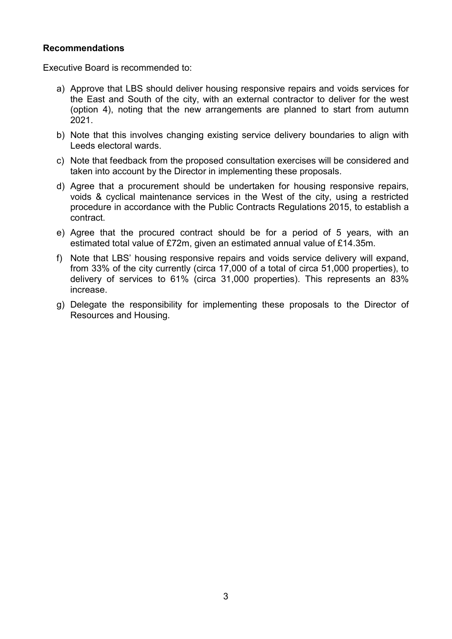## Recommendations

Executive Board is recommended to:

- a) Approve that LBS should deliver housing responsive repairs and voids services for the East and South of the city, with an external contractor to deliver for the west (option 4), noting that the new arrangements are planned to start from autumn 2021.
- b) Note that this involves changing existing service delivery boundaries to align with Leeds electoral wards.
- c) Note that feedback from the proposed consultation exercises will be considered and taken into account by the Director in implementing these proposals.
- d) Agree that a procurement should be undertaken for housing responsive repairs, voids & cyclical maintenance services in the West of the city, using a restricted procedure in accordance with the Public Contracts Regulations 2015, to establish a contract.
- e) Agree that the procured contract should be for a period of 5 years, with an estimated total value of £72m, given an estimated annual value of £14.35m.
- f) Note that LBS' housing responsive repairs and voids service delivery will expand, from 33% of the city currently (circa 17,000 of a total of circa 51,000 properties), to delivery of services to 61% (circa 31,000 properties). This represents an 83% increase.
- g) Delegate the responsibility for implementing these proposals to the Director of Resources and Housing.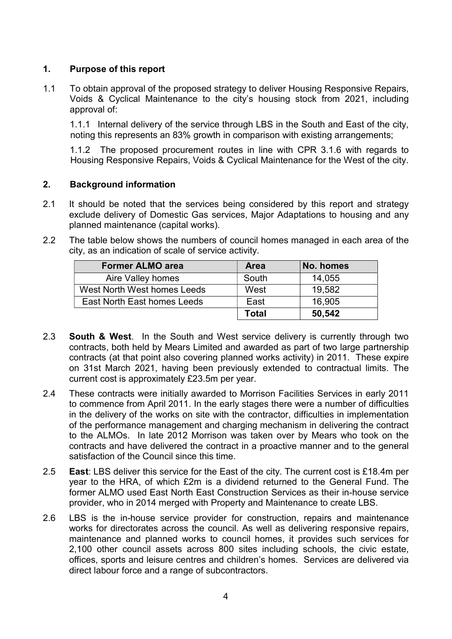## 1. Purpose of this report

1.1 To obtain approval of the proposed strategy to deliver Housing Responsive Repairs, Voids & Cyclical Maintenance to the city's housing stock from 2021, including approval of:

1.1.1 Internal delivery of the service through LBS in the South and East of the city, noting this represents an 83% growth in comparison with existing arrangements;

1.1.2 The proposed procurement routes in line with CPR 3.1.6 with regards to Housing Responsive Repairs, Voids & Cyclical Maintenance for the West of the city.

## 2. Background information

- 2.1 It should be noted that the services being considered by this report and strategy exclude delivery of Domestic Gas services, Major Adaptations to housing and any planned maintenance (capital works).
- 2.2 The table below shows the numbers of council homes managed in each area of the city, as an indication of scale of service activity.

| <b>Former ALMO area</b>     | <b>Area</b> | No. homes |
|-----------------------------|-------------|-----------|
| Aire Valley homes           | South       | 14,055    |
| West North West homes Leeds | West        | 19,582    |
| East North East homes Leeds | East        | 16,905    |
|                             | Total       | 50,542    |

- 2.3 **South & West**. In the South and West service delivery is currently through two contracts, both held by Mears Limited and awarded as part of two large partnership contracts (at that point also covering planned works activity) in 2011. These expire on 31st March 2021, having been previously extended to contractual limits. The current cost is approximately £23.5m per year.
- 2.4 These contracts were initially awarded to Morrison Facilities Services in early 2011 to commence from April 2011. In the early stages there were a number of difficulties in the delivery of the works on site with the contractor, difficulties in implementation of the performance management and charging mechanism in delivering the contract to the ALMOs. In late 2012 Morrison was taken over by Mears who took on the contracts and have delivered the contract in a proactive manner and to the general satisfaction of the Council since this time.
- 2.5 East: LBS deliver this service for the East of the city. The current cost is £18.4m per year to the HRA, of which £2m is a dividend returned to the General Fund. The former ALMO used East North East Construction Services as their in-house service provider, who in 2014 merged with Property and Maintenance to create LBS.
- 2.6 LBS is the in-house service provider for construction, repairs and maintenance works for directorates across the council. As well as delivering responsive repairs, maintenance and planned works to council homes, it provides such services for 2,100 other council assets across 800 sites including schools, the civic estate, offices, sports and leisure centres and children's homes. Services are delivered via direct labour force and a range of subcontractors.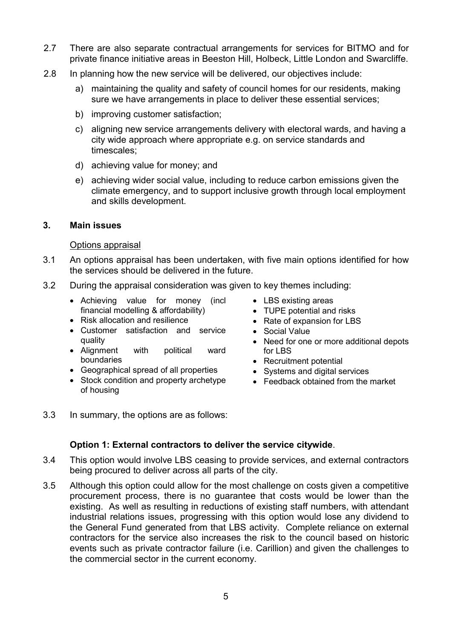- 2.7 There are also separate contractual arrangements for services for BITMO and for private finance initiative areas in Beeston Hill, Holbeck, Little London and Swarcliffe.
- 2.8 In planning how the new service will be delivered, our objectives include:
	- a) maintaining the quality and safety of council homes for our residents, making sure we have arrangements in place to deliver these essential services;
	- b) improving customer satisfaction;
	- c) aligning new service arrangements delivery with electoral wards, and having a city wide approach where appropriate e.g. on service standards and timescales;
	- d) achieving value for money; and
	- e) achieving wider social value, including to reduce carbon emissions given the climate emergency, and to support inclusive growth through local employment and skills development.

## 3. Main issues

### Options appraisal

- 3.1 An options appraisal has been undertaken, with five main options identified for how the services should be delivered in the future.
- 3.2 During the appraisal consideration was given to key themes including:
	- Achieving value for money (incl financial modelling & affordability)
	- Risk allocation and resilience
	- Customer satisfaction and service quality
	- Alignment with political ward boundaries
	- Geographical spread of all properties
	- Stock condition and property archetype of housing
- LBS existing areas
- TUPE potential and risks
- Rate of expansion for LBS
- Social Value
- Need for one or more additional depots for LBS
- Recruitment potential
- Systems and digital services
- Feedback obtained from the market
- 3.3 In summary, the options are as follows:

## Option 1: External contractors to deliver the service citywide.

- 3.4 This option would involve LBS ceasing to provide services, and external contractors being procured to deliver across all parts of the city.
- 3.5 Although this option could allow for the most challenge on costs given a competitive procurement process, there is no guarantee that costs would be lower than the existing. As well as resulting in reductions of existing staff numbers, with attendant industrial relations issues, progressing with this option would lose any dividend to the General Fund generated from that LBS activity. Complete reliance on external contractors for the service also increases the risk to the council based on historic events such as private contractor failure (i.e. Carillion) and given the challenges to the commercial sector in the current economy.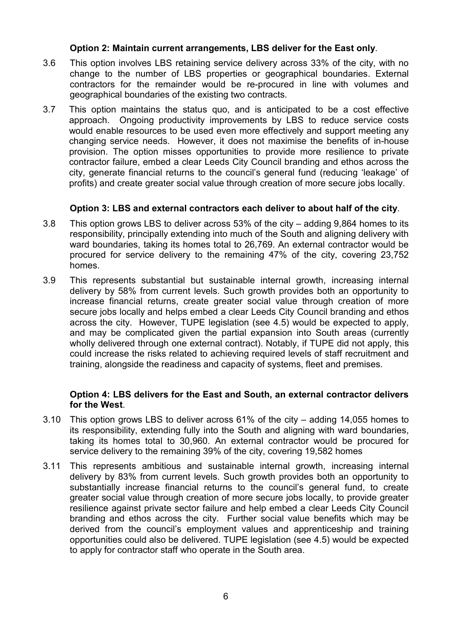## Option 2: Maintain current arrangements, LBS deliver for the East only.

- 3.6 This option involves LBS retaining service delivery across 33% of the city, with no change to the number of LBS properties or geographical boundaries. External contractors for the remainder would be re-procured in line with volumes and geographical boundaries of the existing two contracts.
- 3.7 This option maintains the status quo, and is anticipated to be a cost effective approach. Ongoing productivity improvements by LBS to reduce service costs would enable resources to be used even more effectively and support meeting any changing service needs. However, it does not maximise the benefits of in-house provision. The option misses opportunities to provide more resilience to private contractor failure, embed a clear Leeds City Council branding and ethos across the city, generate financial returns to the council's general fund (reducing 'leakage' of profits) and create greater social value through creation of more secure jobs locally.

## Option 3: LBS and external contractors each deliver to about half of the city.

- 3.8 This option grows LBS to deliver across 53% of the city adding 9,864 homes to its responsibility, principally extending into much of the South and aligning delivery with ward boundaries, taking its homes total to 26,769. An external contractor would be procured for service delivery to the remaining 47% of the city, covering 23,752 homes.
- 3.9 This represents substantial but sustainable internal growth, increasing internal delivery by 58% from current levels. Such growth provides both an opportunity to increase financial returns, create greater social value through creation of more secure jobs locally and helps embed a clear Leeds City Council branding and ethos across the city. However, TUPE legislation (see 4.5) would be expected to apply, and may be complicated given the partial expansion into South areas (currently wholly delivered through one external contract). Notably, if TUPE did not apply, this could increase the risks related to achieving required levels of staff recruitment and training, alongside the readiness and capacity of systems, fleet and premises.

## Option 4: LBS delivers for the East and South, an external contractor delivers for the West.

- 3.10 This option grows LBS to deliver across 61% of the city adding 14,055 homes to its responsibility, extending fully into the South and aligning with ward boundaries, taking its homes total to 30,960. An external contractor would be procured for service delivery to the remaining 39% of the city, covering 19,582 homes
- 3.11 This represents ambitious and sustainable internal growth, increasing internal delivery by 83% from current levels. Such growth provides both an opportunity to substantially increase financial returns to the council's general fund, to create greater social value through creation of more secure jobs locally, to provide greater resilience against private sector failure and help embed a clear Leeds City Council branding and ethos across the city. Further social value benefits which may be derived from the council's employment values and apprenticeship and training opportunities could also be delivered. TUPE legislation (see 4.5) would be expected to apply for contractor staff who operate in the South area.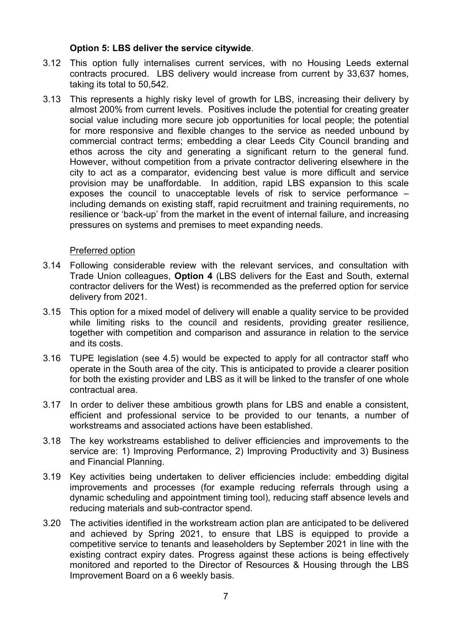## Option 5: LBS deliver the service citywide.

- 3.12 This option fully internalises current services, with no Housing Leeds external contracts procured. LBS delivery would increase from current by 33,637 homes, taking its total to 50,542.
- 3.13 This represents a highly risky level of growth for LBS, increasing their delivery by almost 200% from current levels. Positives include the potential for creating greater social value including more secure job opportunities for local people; the potential for more responsive and flexible changes to the service as needed unbound by commercial contract terms; embedding a clear Leeds City Council branding and ethos across the city and generating a significant return to the general fund. However, without competition from a private contractor delivering elsewhere in the city to act as a comparator, evidencing best value is more difficult and service provision may be unaffordable. In addition, rapid LBS expansion to this scale exposes the council to unacceptable levels of risk to service performance – including demands on existing staff, rapid recruitment and training requirements, no resilience or 'back-up' from the market in the event of internal failure, and increasing pressures on systems and premises to meet expanding needs.

## Preferred option

- 3.14 Following considerable review with the relevant services, and consultation with Trade Union colleagues, Option 4 (LBS delivers for the East and South, external contractor delivers for the West) is recommended as the preferred option for service delivery from 2021.
- 3.15 This option for a mixed model of delivery will enable a quality service to be provided while limiting risks to the council and residents, providing greater resilience, together with competition and comparison and assurance in relation to the service and its costs.
- 3.16 TUPE legislation (see 4.5) would be expected to apply for all contractor staff who operate in the South area of the city. This is anticipated to provide a clearer position for both the existing provider and LBS as it will be linked to the transfer of one whole contractual area.
- 3.17 In order to deliver these ambitious growth plans for LBS and enable a consistent, efficient and professional service to be provided to our tenants, a number of workstreams and associated actions have been established.
- 3.18 The key workstreams established to deliver efficiencies and improvements to the service are: 1) Improving Performance, 2) Improving Productivity and 3) Business and Financial Planning.
- 3.19 Key activities being undertaken to deliver efficiencies include: embedding digital improvements and processes (for example reducing referrals through using a dynamic scheduling and appointment timing tool), reducing staff absence levels and reducing materials and sub-contractor spend.
- 3.20 The activities identified in the workstream action plan are anticipated to be delivered and achieved by Spring 2021, to ensure that LBS is equipped to provide a competitive service to tenants and leaseholders by September 2021 in line with the existing contract expiry dates. Progress against these actions is being effectively monitored and reported to the Director of Resources & Housing through the LBS Improvement Board on a 6 weekly basis.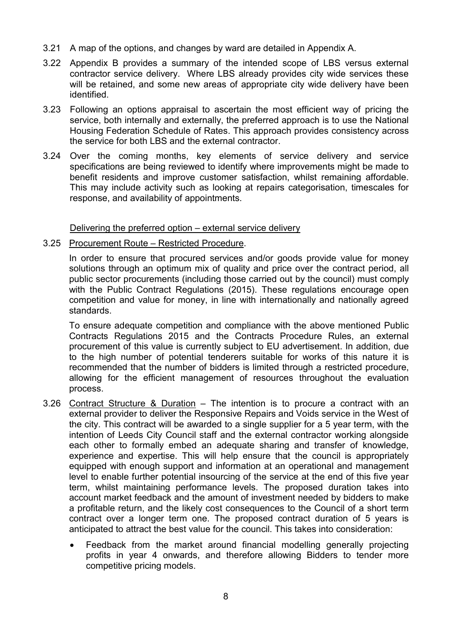- 3.21 A map of the options, and changes by ward are detailed in Appendix A.
- 3.22 Appendix B provides a summary of the intended scope of LBS versus external contractor service delivery. Where LBS already provides city wide services these will be retained, and some new areas of appropriate city wide delivery have been identified.
- 3.23 Following an options appraisal to ascertain the most efficient way of pricing the service, both internally and externally, the preferred approach is to use the National Housing Federation Schedule of Rates. This approach provides consistency across the service for both LBS and the external contractor.
- 3.24 Over the coming months, key elements of service delivery and service specifications are being reviewed to identify where improvements might be made to benefit residents and improve customer satisfaction, whilst remaining affordable. This may include activity such as looking at repairs categorisation, timescales for response, and availability of appointments.

## Delivering the preferred option – external service delivery

### 3.25 Procurement Route – Restricted Procedure.

In order to ensure that procured services and/or goods provide value for money solutions through an optimum mix of quality and price over the contract period, all public sector procurements (including those carried out by the council) must comply with the Public Contract Regulations (2015). These regulations encourage open competition and value for money, in line with internationally and nationally agreed standards.

To ensure adequate competition and compliance with the above mentioned Public Contracts Regulations 2015 and the Contracts Procedure Rules, an external procurement of this value is currently subject to EU advertisement. In addition, due to the high number of potential tenderers suitable for works of this nature it is recommended that the number of bidders is limited through a restricted procedure, allowing for the efficient management of resources throughout the evaluation process.

- 3.26 Contract Structure & Duration The intention is to procure a contract with an external provider to deliver the Responsive Repairs and Voids service in the West of the city. This contract will be awarded to a single supplier for a 5 year term, with the intention of Leeds City Council staff and the external contractor working alongside each other to formally embed an adequate sharing and transfer of knowledge, experience and expertise. This will help ensure that the council is appropriately equipped with enough support and information at an operational and management level to enable further potential insourcing of the service at the end of this five year term, whilst maintaining performance levels. The proposed duration takes into account market feedback and the amount of investment needed by bidders to make a profitable return, and the likely cost consequences to the Council of a short term contract over a longer term one. The proposed contract duration of 5 years is anticipated to attract the best value for the council. This takes into consideration:
	- Feedback from the market around financial modelling generally projecting profits in year 4 onwards, and therefore allowing Bidders to tender more competitive pricing models.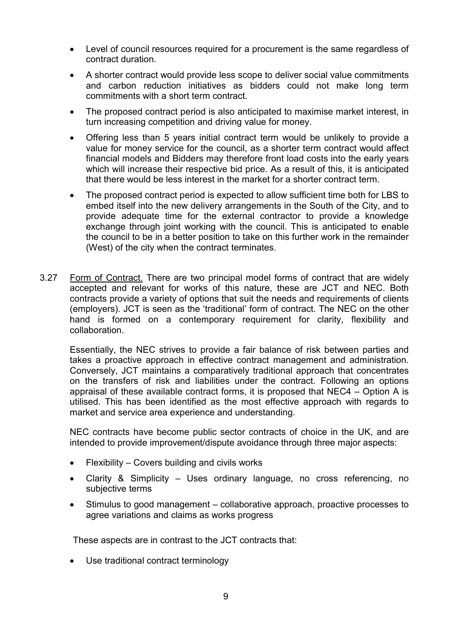- Level of council resources required for a procurement is the same regardless of contract duration.
- A shorter contract would provide less scope to deliver social value commitments and carbon reduction initiatives as bidders could not make long term commitments with a short term contract.
- The proposed contract period is also anticipated to maximise market interest, in turn increasing competition and driving value for money.
- Offering less than 5 years initial contract term would be unlikely to provide a value for money service for the council, as a shorter term contract would affect financial models and Bidders may therefore front load costs into the early years which will increase their respective bid price. As a result of this, it is anticipated that there would be less interest in the market for a shorter contract term.
- The proposed contract period is expected to allow sufficient time both for LBS to embed itself into the new delivery arrangements in the South of the City, and to provide adequate time for the external contractor to provide a knowledge exchange through joint working with the council. This is anticipated to enable the council to be in a better position to take on this further work in the remainder (West) of the city when the contract terminates.
- 3.27 Form of Contract. There are two principal model forms of contract that are widely accepted and relevant for works of this nature, these are JCT and NEC. Both contracts provide a variety of options that suit the needs and requirements of clients (employers). JCT is seen as the 'traditional' form of contract. The NEC on the other hand is formed on a contemporary requirement for clarity, flexibility and collaboration.

Essentially, the NEC strives to provide a fair balance of risk between parties and takes a proactive approach in effective contract management and administration. Conversely, JCT maintains a comparatively traditional approach that concentrates on the transfers of risk and liabilities under the contract. Following an options appraisal of these available contract forms, it is proposed that NEC4 – Option A is utilised. This has been identified as the most effective approach with regards to market and service area experience and understanding.

NEC contracts have become public sector contracts of choice in the UK, and are intended to provide improvement/dispute avoidance through three major aspects:

- Flexibility Covers building and civils works
- Clarity & Simplicity Uses ordinary language, no cross referencing, no subjective terms
- Stimulus to good management collaborative approach, proactive processes to agree variations and claims as works progress

These aspects are in contrast to the JCT contracts that:

• Use traditional contract terminology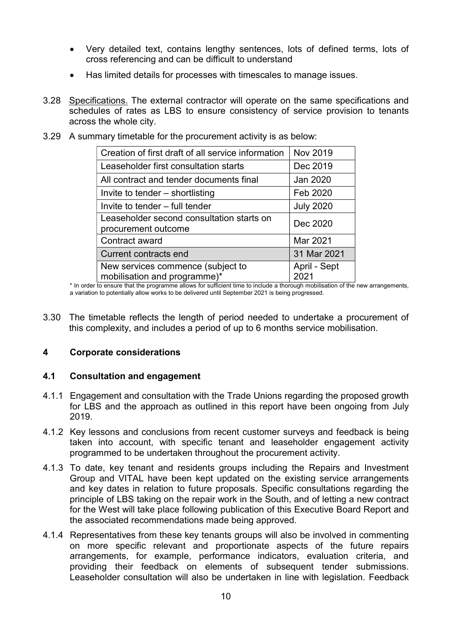- Very detailed text, contains lengthy sentences, lots of defined terms, lots of cross referencing and can be difficult to understand
- Has limited details for processes with timescales to manage issues.
- 3.28 Specifications. The external contractor will operate on the same specifications and schedules of rates as LBS to ensure consistency of service provision to tenants across the whole city.
	- Creation of first draft of all service information  $\vert$  Nov 2019 Leaseholder first consultation starts **Dec 2019** All contract and tender documents final  $|$  Jan 2020 Invite to tender – shortlisting  $\vert$  Feb 2020 Invite to tender – full tender  $\vert$  July 2020 Leaseholder second consultation starts on procurement outcome Contract award Mar 2021 Current contracts end 31 Mar 2021 New services commence (subject to mobilisation and programme)\* April - Sept 2021
- 3.29 A summary timetable for the procurement activity is as below:

\* In order to ensure that the programme allows for sufficient time to include a thorough mobilisation of the new arrangements, a variation to potentially allow works to be delivered until September 2021 is being progressed.

3.30 The timetable reflects the length of period needed to undertake a procurement of this complexity, and includes a period of up to 6 months service mobilisation.

## 4 Corporate considerations

## 4.1 Consultation and engagement

- 4.1.1 Engagement and consultation with the Trade Unions regarding the proposed growth for LBS and the approach as outlined in this report have been ongoing from July 2019.
- 4.1.2 Key lessons and conclusions from recent customer surveys and feedback is being taken into account, with specific tenant and leaseholder engagement activity programmed to be undertaken throughout the procurement activity.
- 4.1.3 To date, key tenant and residents groups including the Repairs and Investment Group and VITAL have been kept updated on the existing service arrangements and key dates in relation to future proposals. Specific consultations regarding the principle of LBS taking on the repair work in the South, and of letting a new contract for the West will take place following publication of this Executive Board Report and the associated recommendations made being approved.
- 4.1.4 Representatives from these key tenants groups will also be involved in commenting on more specific relevant and proportionate aspects of the future repairs arrangements, for example, performance indicators, evaluation criteria, and providing their feedback on elements of subsequent tender submissions. Leaseholder consultation will also be undertaken in line with legislation. Feedback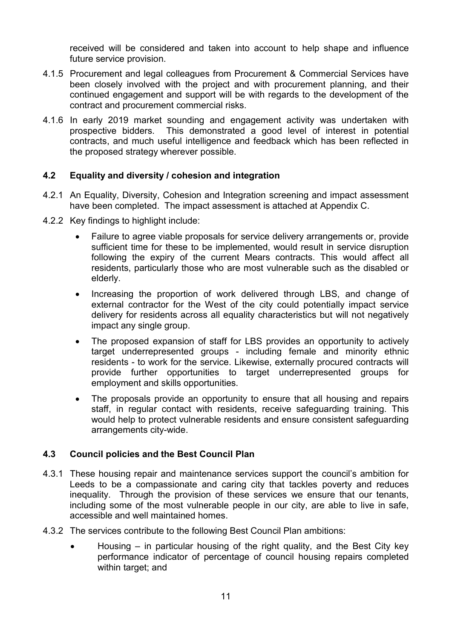received will be considered and taken into account to help shape and influence future service provision.

- 4.1.5 Procurement and legal colleagues from Procurement & Commercial Services have been closely involved with the project and with procurement planning, and their continued engagement and support will be with regards to the development of the contract and procurement commercial risks.
- 4.1.6 In early 2019 market sounding and engagement activity was undertaken with prospective bidders. This demonstrated a good level of interest in potential contracts, and much useful intelligence and feedback which has been reflected in the proposed strategy wherever possible.

## 4.2 Equality and diversity / cohesion and integration

- 4.2.1 An Equality, Diversity, Cohesion and Integration screening and impact assessment have been completed. The impact assessment is attached at Appendix C.
- 4.2.2 Key findings to highlight include:
	- Failure to agree viable proposals for service delivery arrangements or, provide sufficient time for these to be implemented, would result in service disruption following the expiry of the current Mears contracts. This would affect all residents, particularly those who are most vulnerable such as the disabled or elderly.
	- Increasing the proportion of work delivered through LBS, and change of external contractor for the West of the city could potentially impact service delivery for residents across all equality characteristics but will not negatively impact any single group.
	- The proposed expansion of staff for LBS provides an opportunity to actively target underrepresented groups - including female and minority ethnic residents - to work for the service. Likewise, externally procured contracts will provide further opportunities to target underrepresented groups for employment and skills opportunities.
	- The proposals provide an opportunity to ensure that all housing and repairs staff, in regular contact with residents, receive safeguarding training. This would help to protect vulnerable residents and ensure consistent safeguarding arrangements city-wide.

## 4.3 Council policies and the Best Council Plan

- 4.3.1 These housing repair and maintenance services support the council's ambition for Leeds to be a compassionate and caring city that tackles poverty and reduces inequality. Through the provision of these services we ensure that our tenants, including some of the most vulnerable people in our city, are able to live in safe, accessible and well maintained homes.
- 4.3.2 The services contribute to the following Best Council Plan ambitions:
	- Housing in particular housing of the right quality, and the Best City key performance indicator of percentage of council housing repairs completed within target; and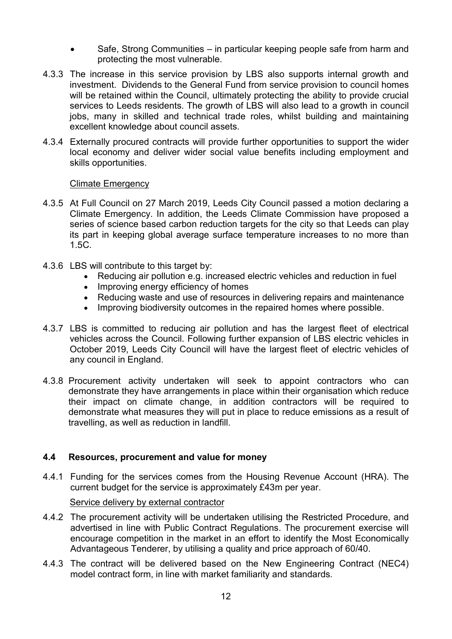- Safe, Strong Communities in particular keeping people safe from harm and protecting the most vulnerable.
- 4.3.3 The increase in this service provision by LBS also supports internal growth and investment. Dividends to the General Fund from service provision to council homes will be retained within the Council, ultimately protecting the ability to provide crucial services to Leeds residents. The growth of LBS will also lead to a growth in council jobs, many in skilled and technical trade roles, whilst building and maintaining excellent knowledge about council assets.
- 4.3.4 Externally procured contracts will provide further opportunities to support the wider local economy and deliver wider social value benefits including employment and skills opportunities.

### Climate Emergency

- 4.3.5 At Full Council on 27 March 2019, Leeds City Council passed a motion declaring a Climate Emergency. In addition, the Leeds Climate Commission have proposed a series of science based carbon reduction targets for the city so that Leeds can play its part in keeping global average surface temperature increases to no more than 1.5C.
- 4.3.6 LBS will contribute to this target by:
	- Reducing air pollution e.g. increased electric vehicles and reduction in fuel
	- Improving energy efficiency of homes
	- Reducing waste and use of resources in delivering repairs and maintenance
	- Improving biodiversity outcomes in the repaired homes where possible.
- 4.3.7 LBS is committed to reducing air pollution and has the largest fleet of electrical vehicles across the Council. Following further expansion of LBS electric vehicles in October 2019, Leeds City Council will have the largest fleet of electric vehicles of any council in England.
- 4.3.8 Procurement activity undertaken will seek to appoint contractors who can demonstrate they have arrangements in place within their organisation which reduce their impact on climate change, in addition contractors will be required to demonstrate what measures they will put in place to reduce emissions as a result of travelling, as well as reduction in landfill.

### 4.4 Resources, procurement and value for money

4.4.1 Funding for the services comes from the Housing Revenue Account (HRA). The current budget for the service is approximately £43m per year.

### Service delivery by external contractor

- 4.4.2 The procurement activity will be undertaken utilising the Restricted Procedure, and advertised in line with Public Contract Regulations. The procurement exercise will encourage competition in the market in an effort to identify the Most Economically Advantageous Tenderer, by utilising a quality and price approach of 60/40.
- 4.4.3 The contract will be delivered based on the New Engineering Contract (NEC4) model contract form, in line with market familiarity and standards.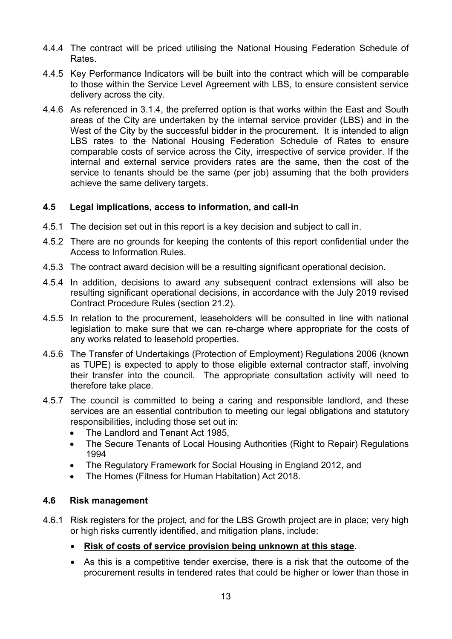- 4.4.4 The contract will be priced utilising the National Housing Federation Schedule of Rates.
- 4.4.5 Key Performance Indicators will be built into the contract which will be comparable to those within the Service Level Agreement with LBS, to ensure consistent service delivery across the city.
- 4.4.6 As referenced in 3.1.4, the preferred option is that works within the East and South areas of the City are undertaken by the internal service provider (LBS) and in the West of the City by the successful bidder in the procurement. It is intended to align LBS rates to the National Housing Federation Schedule of Rates to ensure comparable costs of service across the City, irrespective of service provider. If the internal and external service providers rates are the same, then the cost of the service to tenants should be the same (per job) assuming that the both providers achieve the same delivery targets.

## 4.5 Legal implications, access to information, and call-in

- 4.5.1 The decision set out in this report is a key decision and subject to call in.
- 4.5.2 There are no grounds for keeping the contents of this report confidential under the Access to Information Rules.
- 4.5.3 The contract award decision will be a resulting significant operational decision.
- 4.5.4 In addition, decisions to award any subsequent contract extensions will also be resulting significant operational decisions, in accordance with the July 2019 revised Contract Procedure Rules (section 21.2).
- 4.5.5 In relation to the procurement, leaseholders will be consulted in line with national legislation to make sure that we can re-charge where appropriate for the costs of any works related to leasehold properties.
- 4.5.6 The Transfer of Undertakings (Protection of Employment) Regulations 2006 (known as TUPE) is expected to apply to those eligible external contractor staff, involving their transfer into the council. The appropriate consultation activity will need to therefore take place.
- 4.5.7 The council is committed to being a caring and responsible landlord, and these services are an essential contribution to meeting our legal obligations and statutory responsibilities, including those set out in:
	- The Landlord and Tenant Act 1985,
	- The Secure Tenants of Local Housing Authorities (Right to Repair) Regulations 1994
	- The Regulatory Framework for Social Housing in England 2012, and
	- The Homes (Fitness for Human Habitation) Act 2018.

# 4.6 Risk management

- 4.6.1 Risk registers for the project, and for the LBS Growth project are in place; very high or high risks currently identified, and mitigation plans, include:
	- Risk of costs of service provision being unknown at this stage.
	- As this is a competitive tender exercise, there is a risk that the outcome of the procurement results in tendered rates that could be higher or lower than those in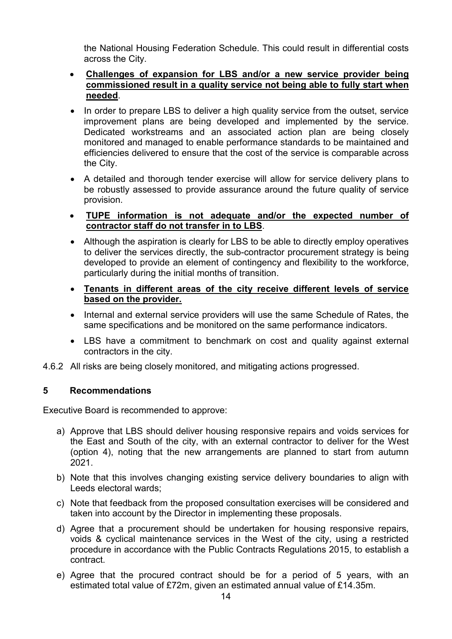the National Housing Federation Schedule. This could result in differential costs across the City.

- Challenges of expansion for LBS and/or a new service provider being commissioned result in a quality service not being able to fully start when needed.
- In order to prepare LBS to deliver a high quality service from the outset, service improvement plans are being developed and implemented by the service. Dedicated workstreams and an associated action plan are being closely monitored and managed to enable performance standards to be maintained and efficiencies delivered to ensure that the cost of the service is comparable across the City.
- A detailed and thorough tender exercise will allow for service delivery plans to be robustly assessed to provide assurance around the future quality of service provision.
- TUPE information is not adequate and/or the expected number of contractor staff do not transfer in to LBS.
- Although the aspiration is clearly for LBS to be able to directly employ operatives to deliver the services directly, the sub-contractor procurement strategy is being developed to provide an element of contingency and flexibility to the workforce, particularly during the initial months of transition.
- Tenants in different areas of the city receive different levels of service based on the provider.
- Internal and external service providers will use the same Schedule of Rates, the same specifications and be monitored on the same performance indicators.
- LBS have a commitment to benchmark on cost and quality against external contractors in the city.
- 4.6.2 All risks are being closely monitored, and mitigating actions progressed.

# 5 Recommendations

Executive Board is recommended to approve:

- a) Approve that LBS should deliver housing responsive repairs and voids services for the East and South of the city, with an external contractor to deliver for the West (option 4), noting that the new arrangements are planned to start from autumn 2021.
- b) Note that this involves changing existing service delivery boundaries to align with Leeds electoral wards;
- c) Note that feedback from the proposed consultation exercises will be considered and taken into account by the Director in implementing these proposals.
- d) Agree that a procurement should be undertaken for housing responsive repairs, voids & cyclical maintenance services in the West of the city, using a restricted procedure in accordance with the Public Contracts Regulations 2015, to establish a contract.
- e) Agree that the procured contract should be for a period of 5 years, with an estimated total value of £72m, given an estimated annual value of £14.35m.